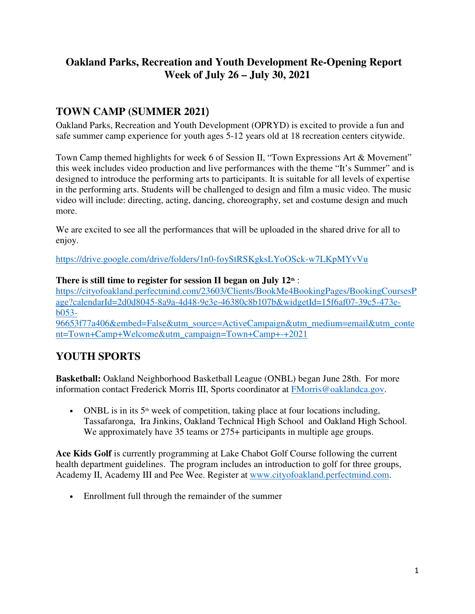# **Oakland Parks, Recreation and Youth Development Re-Opening Report Week of July 26 – July 30, 2021**

# **TOWN CAMP (SUMMER 2021**)

Oakland Parks, Recreation and Youth Development (OPRYD) is excited to provide a fun and safe summer camp experience for youth ages 5-12 years old at 18 recreation centers citywide.

Town Camp themed highlights for week 6 of Session II, "Town Expressions Art & Movement" this week includes video production and live performances with the theme "It's Summer" and is designed to introduce the performing arts to participants. It is suitable for all levels of expertise in the performing arts. Students will be challenged to design and film a music video. The music video will include: directing, acting, dancing, choreography, set and costume design and much more.

We are excited to see all the performances that will be uploaded in the shared drive for all to enjoy.

https://drive.google.com/drive/folders/1n0-foyStRSKgksLYoOSck-w7LKpMYvVu

### **There is still time to register for session II began on July 12th** :

https://cityofoakland.perfectmind.com/23603/Clients/BookMe4BookingPages/BookingCoursesP age?calendarId=2d0d8045-8a9a-4d48-9e3e-46380c8b107b&widgetId=15f6af07-39c5-473eb053-

96653f77a406&embed=False&utm\_source=ActiveCampaign&utm\_medium=email&utm\_conte nt=Town+Camp+Welcome&utm\_campaign=Town+Camp+-+2021  

# **YOUTH SPORTS**

**Basketball:** Oakland Neighborhood Basketball League (ONBL) began June 28th. For more information contact Frederick Morris III, Sports coordinator at FMorris@oaklandca.gov.

• ONBL is in its  $5<sup>th</sup>$  week of competition, taking place at four locations including, Tassafaronga, Ira Jinkins, Oakland Technical High School and Oakland High School. We approximately have 35 teams or  $275+$  participants in multiple age groups.

**Ace Kids Golf** is currently programming at Lake Chabot Golf Course following the current health department guidelines. The program includes an introduction to golf for three groups, Academy II, Academy III and Pee Wee. Register at www.cityofoakland.perfectmind.com.

• Enrollment full through the remainder of the summer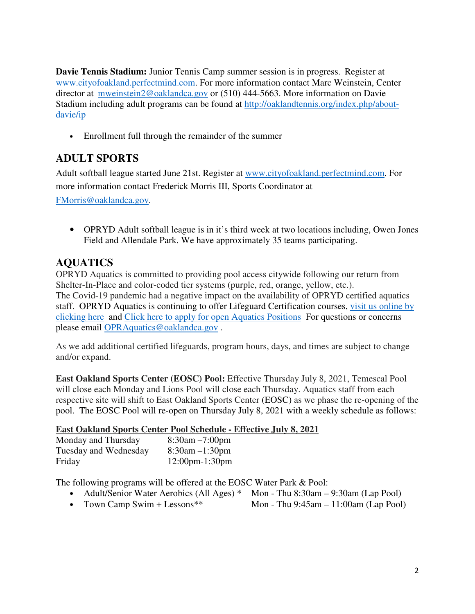**Davie Tennis Stadium:** Junior Tennis Camp summer session is in progress. Register at www.cityofoakland.perfectmind.com. For more information contact Marc Weinstein, Center director at mweinstein2@oaklandca.gov or (510) 444-5663. More information on Davie Stadium including adult programs can be found at http://oaklandtennis.org/index.php/aboutdavie/ip

• Enrollment full through the remainder of the summer

# **ADULT SPORTS**

Adult softball league started June 21st. Register at www.cityofoakland.perfectmind.com. For more information contact Frederick Morris III, Sports Coordinator at

FMorris@oaklandca.gov.    

• OPRYD Adult softball league is in it's third week at two locations including, Owen Jones Field and Allendale Park. We have approximately 35 teams participating.

## **AQUATICS**

OPRYD Aquatics is committed to providing pool access citywide following our return from Shelter-In-Place and color-coded tier systems (purple, red, orange, yellow, etc.). The Covid-19 pandemic had a negative impact on the availability of OPRYD certified aquatics staff. OPRYD Aquatics is continuing to offer Lifeguard Certification courses, visit us online by clicking here and Click here to apply for open Aquatics Positions For questions or concerns please email OPRAquatics@oaklandca.gov.

As we add additional certified lifeguards, program hours, days, and times are subject to change and/or expand.

**East Oakland Sports Center (EOSC) Pool:** Effective Thursday July 8, 2021, Temescal Pool will close each Monday and Lions Pool will close each Thursday. Aquatics staff from each respective site will shift to East Oakland Sports Center (EOSC) as we phase the re-opening of the pool. The EOSC Pool will re-open on Thursday July 8, 2021 with a weekly schedule as follows:

#### **East Oakland Sports Center Pool Schedule - Effective July 8, 2021**

| Monday and Thursday   | $8:30$ am $-7:00$ pm               |
|-----------------------|------------------------------------|
| Tuesday and Wednesday | $8:30$ am $-1:30$ pm               |
| Friday                | $12:00 \text{pm} - 1:30 \text{pm}$ |

The following programs will be offered at the EOSC Water Park & Pool:

- Adult/Senior Water Aerobics (All Ages) \* Mon Thu 8:30am 9:30am (Lap Pool)<br>• Town Camp Swim + Lessons \*\* Mon Thu 9:45am 11:00am (Lap Pool)
- Mon Thu  $9:45am 11:00am$  (Lap Pool)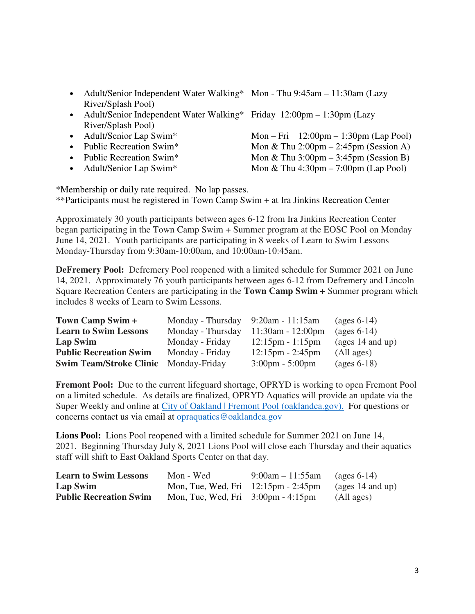- Adult/Senior Independent Water Walking\* Mon Thu 9:45am 11:30am (Lazy River/Splash Pool)
- Adult/Senior Independent Water Walking\* Friday 12:00pm 1:30pm (Lazy River/Splash Pool)
- 
- 
- 
- 

• Adult/Senior Lap Swim\* Mon – Fri 12:00pm – 1:30pm (Lap Pool)<br>• Public Recreation Swim\* Mon & Thu 2:00pm – 2:45pm (Session A) Mon & Thu  $2:00 \text{pm} - 2:45 \text{pm}$  (Session A) • Public Recreation Swim\* Mon & Thu  $3:00 \text{pm} - 3:45 \text{pm}$  (Session B)

• Adult/Senior Lap Swim\* Mon & Thu  $4:30 \text{pm} - 7:00 \text{pm}$  (Lap Pool)

\*Membership or daily rate required. No lap passes.

\*\*Participants must be registered in Town Camp Swim + at Ira Jinkins Recreation Center

Approximately 30 youth participants between ages 6-12 from Ira Jinkins Recreation Center began participating in the Town Camp Swim + Summer program at the EOSC Pool on Monday June 14, 2021. Youth participants are participating in 8 weeks of Learn to Swim Lessons Monday-Thursday from 9:30am-10:00am, and 10:00am-10:45am.

**DeFremery Pool:** Defremery Pool reopened with a limited schedule for Summer 2021 on June 14, 2021. Approximately 76 youth participants between ages 6-12 from Defremery and Lincoln Square Recreation Centers are participating in the **Town Camp Swim +** Summer program which includes 8 weeks of Learn to Swim Lessons.

| Town Camp Swim +               | Monday - Thursday $9:20$ am - 11:15am |                                    | (ages $6-14$ )                   |
|--------------------------------|---------------------------------------|------------------------------------|----------------------------------|
| <b>Learn to Swim Lessons</b>   | Monday - Thursday                     | $11:30$ am - 12:00pm               | $\left(\text{ages } 6-14\right)$ |
| Lap Swim                       | Monday - Friday                       | $12:15 \text{pm} - 1:15 \text{pm}$ | $\frac{1}{4}$ and up)            |
| <b>Public Recreation Swim</b>  | Monday - Friday                       | $12:15 \text{pm} - 2:45 \text{pm}$ | (All ages)                       |
| <b>Swim Team/Stroke Clinic</b> | Monday-Friday                         | $3:00 \text{pm} - 5:00 \text{pm}$  | $\left(\text{ages } 6-18\right)$ |

**Fremont Pool:** Due to the current lifeguard shortage, OPRYD is working to open Fremont Pool on a limited schedule. As details are finalized, OPRYD Aquatics will provide an update via the Super Weekly and online at City of Oakland | Fremont Pool (oaklandca.gov). For questions or concerns contact us via email at opraquatics@oaklandca.gov

**Lions Pool:** Lions Pool reopened with a limited schedule for Summer 2021 on June 14, 2021. Beginning Thursday July 8, 2021 Lions Pool will close each Thursday and their aquatics staff will shift to East Oakland Sports Center on that day.

| <b>Learn to Swim Lessons</b>  | Mon - Wed                                               | $9:00am - 11:55am$ | (ages $6-14$ )     |
|-------------------------------|---------------------------------------------------------|--------------------|--------------------|
| Lap Swim                      | Mon, Tue, Wed, Fri $12:15 \text{pm}$ - 2:45 $\text{pm}$ |                    | (ages $14$ and up) |
| <b>Public Recreation Swim</b> | Mon, Tue, Wed, Fri $3:00 \text{pm} - 4:15 \text{pm}$    |                    | (All ages)         |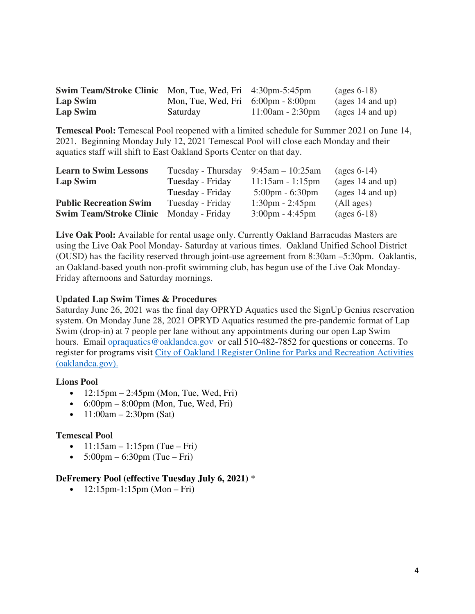| <b>Swim Team/Stroke Clinic</b> Mon, Tue, Wed, Fri 4:30pm-5:45pm |                                                      |                                      | $\left( \text{ages } 6-18 \right)$ |
|-----------------------------------------------------------------|------------------------------------------------------|--------------------------------------|------------------------------------|
| Lap Swim                                                        | Mon, Tue, Wed, Fri $6:00 \text{pm} - 8:00 \text{pm}$ |                                      | (ages 14 and up)                   |
| Lap Swim                                                        | Saturday                                             | $11:00$ am - 2:30pm (ages 14 and up) |                                    |

**Temescal Pool:** Temescal Pool reopened with a limited schedule for Summer 2021 on June 14, 2021. Beginning Monday July 12, 2021 Temescal Pool will close each Monday and their aquatics staff will shift to East Oakland Sports Center on that day.

| <b>Learn to Swim Lessons</b>   | Tuesday - Thursday $9:45$ am - 10:25am |                                   | $\left( \text{ages } 6 - 14 \right)$ |
|--------------------------------|----------------------------------------|-----------------------------------|--------------------------------------|
| Lap Swim                       | Tuesday - Friday                       | $11:15am - 1:15pm$                | (ages $14$ and up)                   |
|                                | Tuesday - Friday                       | $5:00 \text{pm} - 6:30 \text{pm}$ | $\frac{1}{4}$ and up)                |
| <b>Public Recreation Swim</b>  | Tuesday - Friday                       | $1:30 \text{pm} - 2:45 \text{pm}$ | (All ages)                           |
| <b>Swim Team/Stroke Clinic</b> | Monday - Friday                        | $3:00 \text{pm} - 4:45 \text{pm}$ | $\left(\text{ages } 6-18\right)$     |

**Live Oak Pool:** Available for rental usage only. Currently Oakland Barracudas Masters are using the Live Oak Pool Monday- Saturday at various times. Oakland Unified School District (OUSD) has the facility reserved through joint-use agreement from 8:30am –5:30pm. Oaklantis, an Oakland-based youth non-profit swimming club, has begun use of the Live Oak Monday-Friday afternoons and Saturday mornings.

#### **Updated Lap Swim Times & Procedures**

Saturday June 26, 2021 was the final day OPRYD Aquatics used the SignUp Genius reservation system. On Monday June 28, 2021 OPRYD Aquatics resumed the pre-pandemic format of Lap Swim (drop-in) at 7 people per lane without any appointments during our open Lap Swim hours. Email <u>opraquatics@oaklandca.gov</u> or call 510-482-7852 for questions or concerns. To register for programs visit City of Oakland | Register Online for Parks and Recreation Activities (oaklandca.gov).

#### **Lions Pool**

- $12:15 \text{pm} 2:45 \text{pm}$  (Mon, Tue, Wed, Fri)
- $6:00 \text{pm} 8:00 \text{pm}$  (Mon, Tue, Wed, Fri)
- $11:00$ am 2:30pm (Sat)

#### **Temescal Pool**

- $1!:15$ am  $1:15$ pm (Tue Fri)
- $5:00 \text{pm} 6:30 \text{pm}$  (Tue Fri)

#### **DeFremery Pool (effective Tuesday July 6, 2021)** \*

•  $12:15 \text{pm} - 1:15 \text{pm}$  (Mon – Fri)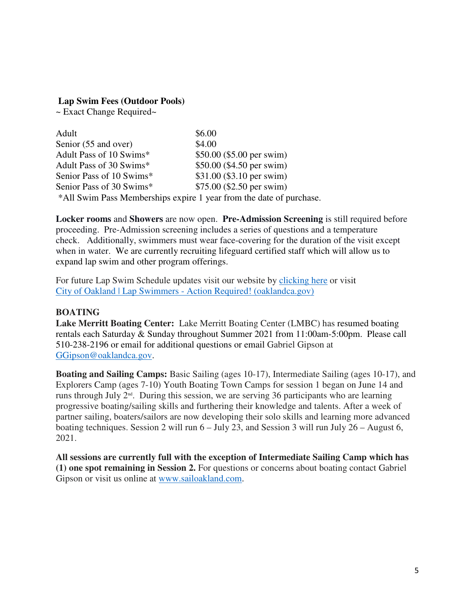#### **Lap Swim Fees (Outdoor Pools)**

~ Exact Change Required~

| Adult                                                               | \$6.00                     |
|---------------------------------------------------------------------|----------------------------|
| Senior (55 and over)                                                | \$4.00                     |
| Adult Pass of 10 Swims*                                             | \$50.00 (\$5.00 per swim)  |
| Adult Pass of 30 Swims*                                             | \$50.00 (\$4.50 per swim)  |
| Senior Pass of 10 Swims*                                            | \$31.00 (\$3.10 per swim)  |
| Senior Pass of 30 Swims*                                            | $$75.00$ (\$2.50 per swim) |
| *All Swim Pass Memberships expire 1 year from the date of purchase. |                            |

**Locker rooms** and **Showers** are now open. **Pre-Admission Screening** is still required before proceeding. Pre-Admission screening includes a series of questions and a temperature check. Additionally, swimmers must wear face-covering for the duration of the visit except when in water. We are currently recruiting lifeguard certified staff which will allow us to expand lap swim and other program offerings.

For future Lap Swim Schedule updates visit our website by clicking here or visit City of Oakland | Lap Swimmers - Action Required! (oaklandca.gov)

#### **BOATING**

**Lake Merritt Boating Center:** Lake Merritt Boating Center (LMBC) has resumed boating rentals each Saturday & Sunday throughout Summer 2021 from 11:00am-5:00pm. Please call 510-238-2196 or email for additional questions or email Gabriel Gipson at GGipson@oaklandca.gov.

**Boating and Sailing Camps:** Basic Sailing (ages 10-17), Intermediate Sailing (ages 10-17), and Explorers Camp (ages 7-10) Youth Boating Town Camps for session 1 began on June 14 and runs through July 2nd. During this session, we are serving 36 participants who are learning progressive boating/sailing skills and furthering their knowledge and talents. After a week of partner sailing, boaters/sailors are now developing their solo skills and learning more advanced boating techniques. Session 2 will run  $6 -$  July 23, and Session 3 will run July  $26 -$  August 6, 2021.

**All sessions are currently full with the exception of Intermediate Sailing Camp which has (1) one spot remaining in Session 2.** For questions or concerns about boating contact Gabriel Gipson or visit us online at www.sailoakland.com.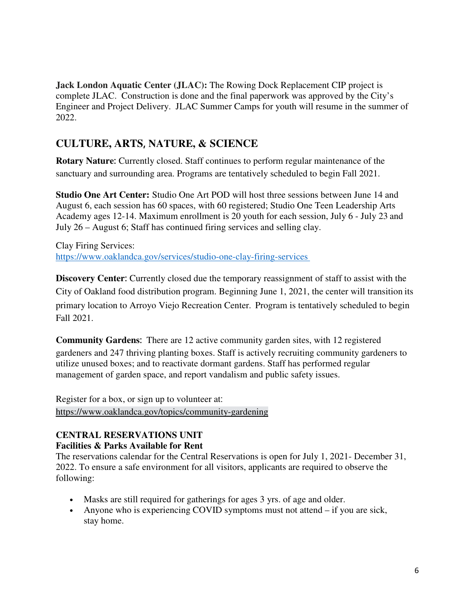**Jack London Aquatic Center (JLAC): The Rowing Dock Replacement CIP project is** complete JLAC. Construction is done and the final paperwork was approved by the City's Engineer and Project Delivery. JLAC Summer Camps for youth will resume in the summer of 2022.

# **CULTURE, ARTS**, **NATURE, & SCIENCE**

**Rotary Nature**: Currently closed. Staff continues to perform regular maintenance of the sanctuary and surrounding area. Programs are tentatively scheduled to begin Fall 2021.  

**Studio One Art Center:** Studio One Art POD will host three sessions between June 14 and August 6, each session has 60 spaces, with 60 registered; Studio One Teen Leadership Arts Academy ages 12-14. Maximum enrollment is 20 youth for each session, July 6 - July 23 and July 26 – August 6; Staff has continued firing services and selling clay.  

Clay Firing Services:   https://www.oaklandca.gov/services/studio-one-clay-firing-services   

**Discovery Center**: Currently closed due the temporary reassignment of staff to assist with the City of Oakland food distribution program. Beginning June 1, 2021, the center will transition its primary location to Arroyo Viejo Recreation Center. Program is tentatively scheduled to begin Fall 2021.  

**Community Gardens**: There are 12 active community garden sites, with 12 registered gardeners and 247 thriving planting boxes. Staff is actively recruiting community gardeners to utilize unused boxes; and to reactivate dormant gardens. Staff has performed regular management of garden space, and report vandalism and public safety issues.   

Register for a box, or sign up to volunteer at:   https://www.oaklandca.gov/topics/community-gardening  

## **CENTRAL RESERVATIONS UNIT**

## **Facilities & Parks Available for Rent**

The reservations calendar for the Central Reservations is open for July 1, 2021- December 31, 2022. To ensure a safe environment for all visitors, applicants are required to observe the following:  

- Masks are still required for gatherings for ages 3 yrs. of age and older.
- Anyone who is experiencing COVID symptoms must not attend if you are sick, stay home.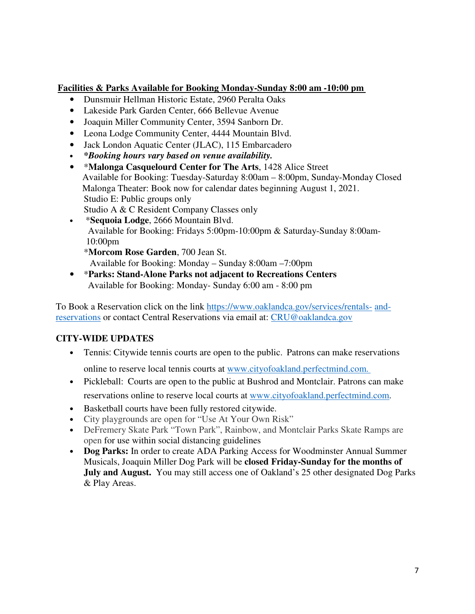### **Facilities & Parks Available for Booking Monday-Sunday 8:00 am -10:00 pm**

- Dunsmuir Hellman Historic Estate, 2960 Peralta Oaks
- Lakeside Park Garden Center, 666 Bellevue Avenue
- Joaquin Miller Community Center, 3594 Sanborn Dr.
- Leona Lodge Community Center, 4444 Mountain Blvd.
- Jack London Aquatic Center (JLAC), 115 Embarcadero
- *\*Booking hours vary based on venue availability.*
- \***Malonga Casquelourd Center for The Arts**, 1428 Alice Street                 Available for Booking: Tuesday-Saturday 8:00am – 8:00pm, Sunday-Monday Closed                 Malonga Theater: Book now for calendar dates beginning August 1, 2021.   Studio E: Public groups only Studio A & C Resident Company Classes only
- \***Sequoia Lodge**, 2666 Mountain Blvd.    Available for Booking: Fridays 5:00pm-10:00pm & Saturday-Sunday 8:00am- 10:00pm
	- \***Morcom Rose Garden**, 700 Jean St.      Available for Booking: Monday – Sunday 8:00am –7:00pm
- \***Parks: Stand-Alone Parks not adjacent to Recreations Centers**   Available for Booking: Monday- Sunday 6:00 am - 8:00 pm

To Book a Reservation click on the link https://www.oaklandca.gov/services/rentals- andreservations or contact Central Reservations via email at: CRU@oaklandca.gov

## **CITY-WIDE UPDATES**

- Tennis: Citywide tennis courts are open to the public. Patrons can make reservations online to reserve local tennis courts at www.cityofoakland.perfectmind.com.
- Pickleball: Courts are open to the public at Bushrod and Montclair. Patrons can make reservations online to reserve local courts at www.cityofoakland.perfectmind.com.
- Basketball courts have been fully restored citywide.
- City playgrounds are open for "Use At Your Own Risk"
- DeFremery Skate Park "Town Park", Rainbow, and Montclair Parks Skate Ramps are open for use within social distancing guidelines
- **Dog Parks:** In order to create ADA Parking Access for Woodminster Annual Summer Musicals, Joaquin Miller Dog Park will be **closed Friday-Sunday for the months of July and August.** You may still access one of Oakland's 25 other designated Dog Parks & Play Areas.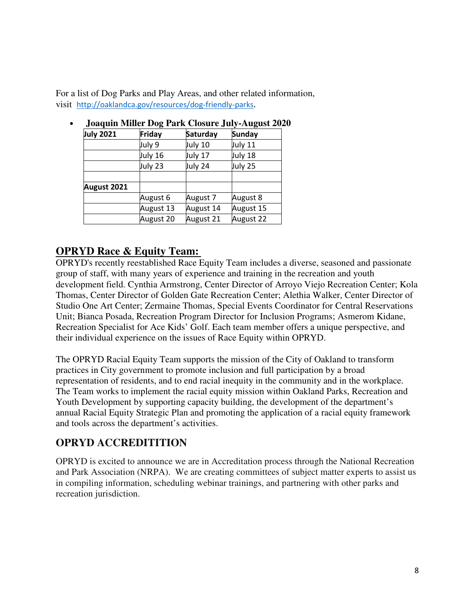For a list of Dog Parks and Play Areas, and other related information, visit http://oaklandca.gov/resources/dog-friendly-parks.

| <b>July 2021</b> | Friday    | Saturday  | <b>Sunday</b> |
|------------------|-----------|-----------|---------------|
|                  | July 9    | July 10   | July 11       |
|                  | July 16   | July 17   | July 18       |
|                  | July 23   | July 24   | July 25       |
| August 2021      |           |           |               |
|                  | August 6  | August 7  | August 8      |
|                  | August 13 | August 14 | August 15     |
|                  | August 20 | August 21 | August 22     |

### • **Joaquin Miller Dog Park Closure July-August 2020**

## **OPRYD Race & Equity Team:**

OPRYD's recently reestablished Race Equity Team includes a diverse, seasoned and passionate group of staff, with many years of experience and training in the recreation and youth development field. Cynthia Armstrong, Center Director of Arroyo Viejo Recreation Center; Kola Thomas, Center Director of Golden Gate Recreation Center; Alethia Walker, Center Director of Studio One Art Center; Zermaine Thomas, Special Events Coordinator for Central Reservations Unit; Bianca Posada, Recreation Program Director for Inclusion Programs; Asmerom Kidane, Recreation Specialist for Ace Kids' Golf. Each team member offers a unique perspective, and their individual experience on the issues of Race Equity within OPRYD.   

The OPRYD Racial Equity Team supports the mission of the City of Oakland to transform practices in City government to promote inclusion and full participation by a broad representation of residents, and to end racial inequity in the community and in the workplace. The Team works to implement the racial equity mission within Oakland Parks, Recreation and Youth Development by supporting capacity building, the development of the department's annual Racial Equity Strategic Plan and promoting the application of a racial equity framework and tools across the department's activities.

## **OPRYD ACCREDITITION**

OPRYD is excited to announce we are in Accreditation process through the National Recreation and Park Association (NRPA). We are creating committees of subject matter experts to assist us in compiling information, scheduling webinar trainings, and partnering with other parks and recreation jurisdiction.